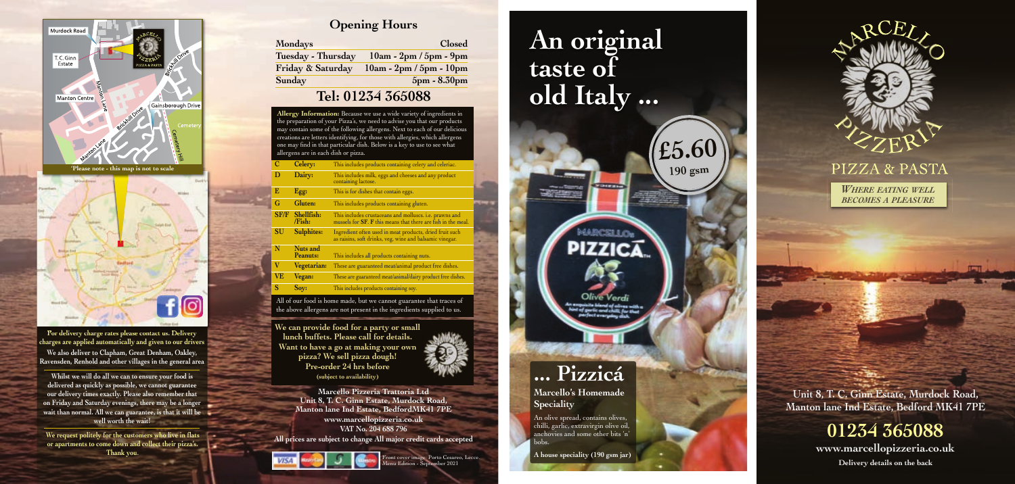**Marcello Pizzeria Trattoria Ltd Unit 8, T. C. Ginn Estate, Murdock Road, Manton lane Ind Estate, BedfordMK41 7PE www.marcellopizzeria.co.uk VAT No. 204 688 796 All prices are subject to change All major credit cards accepted**



**Unit 8, T. C. Ginn Estate, Murdock Road, Manton lane Ind Estate, Bedford MK41 7PE**

**01234 365088**

**www.marcellopizzeria.co.uk**

### **Tel: 01234 365088**

### **Opening Hours**

**We can provide food for a party or small lunch buffets. Please call for details. Want to have a go at making your own pizza? We sell pizza dough! Pre-order 24 hrs before (subject to availability)**



Front cover image: Porto Cesareo, Lecce. Menu Edition - September 2021

**Whilst we will do all we can to ensure your food is delivered as quickly as possible, we cannot guarantee our delivery times exactly. Please also remember that on Friday and Saturday evenings, there may be a longer wait than normal. All we can guarantee, is that it will be well worth the wait!**

**Delivery details on the back**

**For delivery charge rates please contact us. Delivery charges are applied automatically and given to our drivers We also deliver to Clapham, Great Denham, Oakley, Ravensden, Renhold and other villages in the general area**

**Allergy Information:** Because we use a wide variety of ingredients in the preparation of your Pizza's, we need to advise you that our products may contain some of the following allergens. Next to each of our delicious creations are letters identifying, for those with allergies, which allergens one may find in that particular dish. Below is a key to use to see what allergens are in each dish or pizza.

| <b>Mondays</b>     | Closed                    |
|--------------------|---------------------------|
| Tuesday - Thursday | $10am - 2pm / 5pm - 9pm$  |
| Friday & Saturday  | $10am - 2pm / 5pm - 10pm$ |
| Sunday             | 5pm - 8.30pm              |

|             | Celery:              | This includes products containing celery and celeriac.                                                                   |
|-------------|----------------------|--------------------------------------------------------------------------------------------------------------------------|
| D           | Dairy:               | This includes milk, eggs and cheeses and any product<br>containing lactose.                                              |
| E           | Egg:                 | This is for dishes that contain eggs.                                                                                    |
| G           | Gluten:              | This includes products containing gluten.                                                                                |
| <b>SF/F</b> | Shellfish:<br>/Fish: | This includes crustaceans and molluscs. i.e. prawns and<br>mussels for SF. F this means that there are fish in the meal. |
| SU          | <b>Sulphites:</b>    | Ingredient often used in meat products, dried fruit such<br>as raisins, soft drinks, veg, wine and balsamic vinegar.     |
| N           | Nuts and<br>Peanuts: | This includes all products containing nuts.                                                                              |
| V           | Vegetarian:          | These are guaranteed meat/animal product free dishes.                                                                    |
| <b>VE</b>   | Vegan:               | These are guaranteed meat/animal/dairy product free dishes.                                                              |
| S           | Soy:                 | This includes products containing soy.                                                                                   |

*WHERE EATING WELL BECOMES A PLEASURE*

# **An original taste of old Italy ...**

**£5.60**

**190 gsm**



 $771C$ 

## **... Pizzicá**

**Marcello's Homemade Speciality**

An olive spread, contains olives, chilli, garlic, extravirgin olive oil, anchovies and some other bits 'n' bobs.

**A house speciality (190 gsm jar)**



## PIZZA & PASTA

All of our food is home made, but we cannot guarantee that traces of the above allergens are not present in the ingredients supplied to us.

**We request politely for the customers who live in flats or apartments to come down and collect their pizza's. Thank you**.